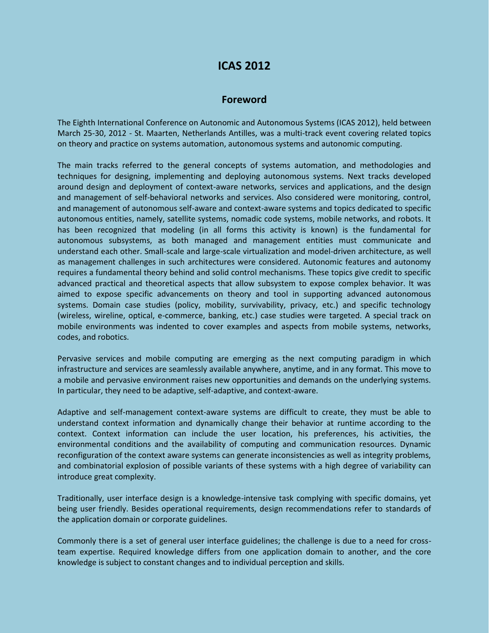## **ICAS 2012**

## **Foreword**

The Eighth International Conference on Autonomic and Autonomous Systems (ICAS 2012), held between March 25-30, 2012 - St. Maarten, Netherlands Antilles, was a multi-track event covering related topics on theory and practice on systems automation, autonomous systems and autonomic computing.

The main tracks referred to the general concepts of systems automation, and methodologies and techniques for designing, implementing and deploying autonomous systems. Next tracks developed around design and deployment of context-aware networks, services and applications, and the design and management of self-behavioral networks and services. Also considered were monitoring, control, and management of autonomous self-aware and context-aware systems and topics dedicated to specific autonomous entities, namely, satellite systems, nomadic code systems, mobile networks, and robots. It has been recognized that modeling (in all forms this activity is known) is the fundamental for autonomous subsystems, as both managed and management entities must communicate and understand each other. Small-scale and large-scale virtualization and model-driven architecture, as well as management challenges in such architectures were considered. Autonomic features and autonomy requires a fundamental theory behind and solid control mechanisms. These topics give credit to specific advanced practical and theoretical aspects that allow subsystem to expose complex behavior. It was aimed to expose specific advancements on theory and tool in supporting advanced autonomous systems. Domain case studies (policy, mobility, survivability, privacy, etc.) and specific technology (wireless, wireline, optical, e-commerce, banking, etc.) case studies were targeted. A special track on mobile environments was indented to cover examples and aspects from mobile systems, networks, codes, and robotics.

Pervasive services and mobile computing are emerging as the next computing paradigm in which infrastructure and services are seamlessly available anywhere, anytime, and in any format. This move to a mobile and pervasive environment raises new opportunities and demands on the underlying systems. In particular, they need to be adaptive, self-adaptive, and context-aware.

Adaptive and self-management context-aware systems are difficult to create, they must be able to understand context information and dynamically change their behavior at runtime according to the context. Context information can include the user location, his preferences, his activities, the environmental conditions and the availability of computing and communication resources. Dynamic reconfiguration of the context aware systems can generate inconsistencies as well as integrity problems, and combinatorial explosion of possible variants of these systems with a high degree of variability can introduce great complexity.

Traditionally, user interface design is a knowledge-intensive task complying with specific domains, yet being user friendly. Besides operational requirements, design recommendations refer to standards of the application domain or corporate guidelines.

Commonly there is a set of general user interface guidelines; the challenge is due to a need for crossteam expertise. Required knowledge differs from one application domain to another, and the core knowledge is subject to constant changes and to individual perception and skills.